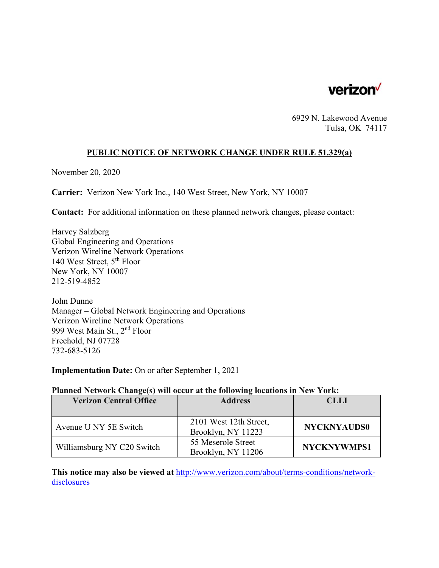

6929 N. Lakewood Avenue Tulsa, OK 74117

### **PUBLIC NOTICE OF NETWORK CHANGE UNDER RULE 51.329(a)**

November 20, 2020

**Carrier:** Verizon New York Inc., 140 West Street, New York, NY 10007

**Contact:** For additional information on these planned network changes, please contact:

Harvey Salzberg Global Engineering and Operations Verizon Wireline Network Operations 140 West Street, 5th Floor New York, NY 10007 212-519-4852

John Dunne Manager – Global Network Engineering and Operations Verizon Wireline Network Operations 999 West Main St., 2nd Floor Freehold, NJ 07728 732-683-5126

**Implementation Date:** On or after September 1, 2021

#### **Planned Network Change(s) will occur at the following locations in New York:**

| <b>Verizon Central Office</b> | <b>Address</b>         | <b>CLLI</b>        |
|-------------------------------|------------------------|--------------------|
|                               |                        |                    |
| Avenue U NY 5E Switch         | 2101 West 12th Street, | <b>NYCKNYAUDS0</b> |
|                               | Brooklyn, NY 11223     |                    |
| Williamsburg NY C20 Switch    | 55 Meserole Street     | <b>NYCKNYWMPS1</b> |
|                               | Brooklyn, NY 11206     |                    |

**This notice may also be viewed at** http://www.verizon.com/about/terms-conditions/networkdisclosures